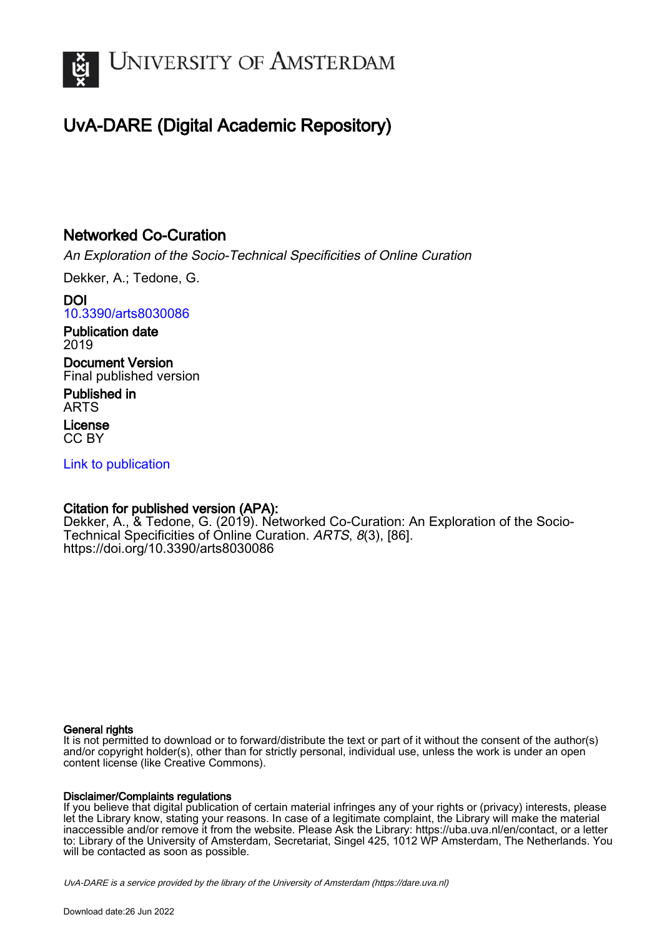

# UvA-DARE (Digital Academic Repository)

# Networked Co-Curation

An Exploration of the Socio-Technical Specificities of Online Curation

Dekker, A.; Tedone, G.

DOI [10.3390/arts8030086](https://doi.org/10.3390/arts8030086)

Publication date 2019

Document Version Final published version

Published in ARTS

License CC BY

[Link to publication](https://dare.uva.nl/personal/pure/en/publications/networked-cocuration(55e45a90-2bda-4a30-9978-23e0a6177502).html)

## Citation for published version (APA):

Dekker, A., & Tedone, G. (2019). Networked Co-Curation: An Exploration of the Socio-Technical Specificities of Online Curation. ARTS, 8(3), [86]. <https://doi.org/10.3390/arts8030086>

### General rights

It is not permitted to download or to forward/distribute the text or part of it without the consent of the author(s) and/or copyright holder(s), other than for strictly personal, individual use, unless the work is under an open content license (like Creative Commons).

### Disclaimer/Complaints regulations

If you believe that digital publication of certain material infringes any of your rights or (privacy) interests, please let the Library know, stating your reasons. In case of a legitimate complaint, the Library will make the material inaccessible and/or remove it from the website. Please Ask the Library: https://uba.uva.nl/en/contact, or a letter to: Library of the University of Amsterdam, Secretariat, Singel 425, 1012 WP Amsterdam, The Netherlands. You will be contacted as soon as possible.

UvA-DARE is a service provided by the library of the University of Amsterdam (http*s*://dare.uva.nl)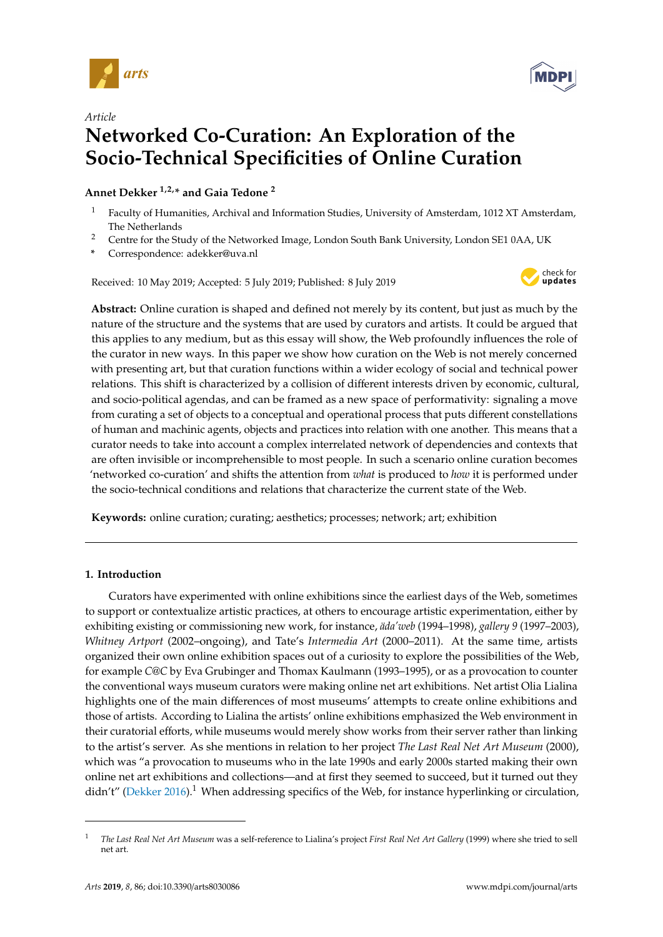



# *Article* **Networked Co-Curation: An Exploration of the Socio-Technical Specificities of Online Curation**

**Annet Dekker 1,2,\* and Gaia Tedone <sup>2</sup>**

- <sup>1</sup> Faculty of Humanities, Archival and Information Studies, University of Amsterdam, 1012 XT Amsterdam, The Netherlands
- <sup>2</sup> Centre for the Study of the Networked Image, London South Bank University, London SE1 0AA, UK
- **\*** Correspondence: adekker@uva.nl

Received: 10 May 2019; Accepted: 5 July 2019; Published: 8 July 2019



**Abstract:** Online curation is shaped and defined not merely by its content, but just as much by the nature of the structure and the systems that are used by curators and artists. It could be argued that this applies to any medium, but as this essay will show, the Web profoundly influences the role of the curator in new ways. In this paper we show how curation on the Web is not merely concerned with presenting art, but that curation functions within a wider ecology of social and technical power relations. This shift is characterized by a collision of different interests driven by economic, cultural, and socio-political agendas, and can be framed as a new space of performativity: signaling a move from curating a set of objects to a conceptual and operational process that puts different constellations of human and machinic agents, objects and practices into relation with one another. This means that a curator needs to take into account a complex interrelated network of dependencies and contexts that are often invisible or incomprehensible to most people. In such a scenario online curation becomes 'networked co-curation' and shifts the attention from *what* is produced to *how* it is performed under the socio-technical conditions and relations that characterize the current state of the Web.

**Keywords:** online curation; curating; aesthetics; processes; network; art; exhibition

### **1. Introduction**

Curators have experimented with online exhibitions since the earliest days of the Web, sometimes to support or contextualize artistic practices, at others to encourage artistic experimentation, either by exhibiting existing or commissioning new work, for instance, *äda'web* (1994–1998), *gallery 9* (1997–2003), *Whitney Artport* (2002–ongoing), and Tate's *Intermedia Art* (2000–2011). At the same time, artists organized their own online exhibition spaces out of a curiosity to explore the possibilities of the Web, for example *C@C* by Eva Grubinger and Thomax Kaulmann (1993–1995), or as a provocation to counter the conventional ways museum curators were making online net art exhibitions. Net artist Olia Lialina highlights one of the main differences of most museums' attempts to create online exhibitions and those of artists. According to Lialina the artists' online exhibitions emphasized the Web environment in their curatorial efforts, while museums would merely show works from their server rather than linking to the artist's server. As she mentions in relation to her project *The Last Real Net Art Museum* (2000), which was "a provocation to museums who in the late 1990s and early 2000s started making their own online net art exhibitions and collections—and at first they seemed to succeed, but it turned out they didn't" [\(Dekker](#page-12-0) [2016\)](#page-12-0).<sup>1</sup> When addressing specifics of the Web, for instance hyperlinking or circulation,

<sup>1</sup> *The Last Real Net Art Museum* was a self-reference to Lialina's project *First Real Net Art Gallery* (1999) where she tried to sell net art.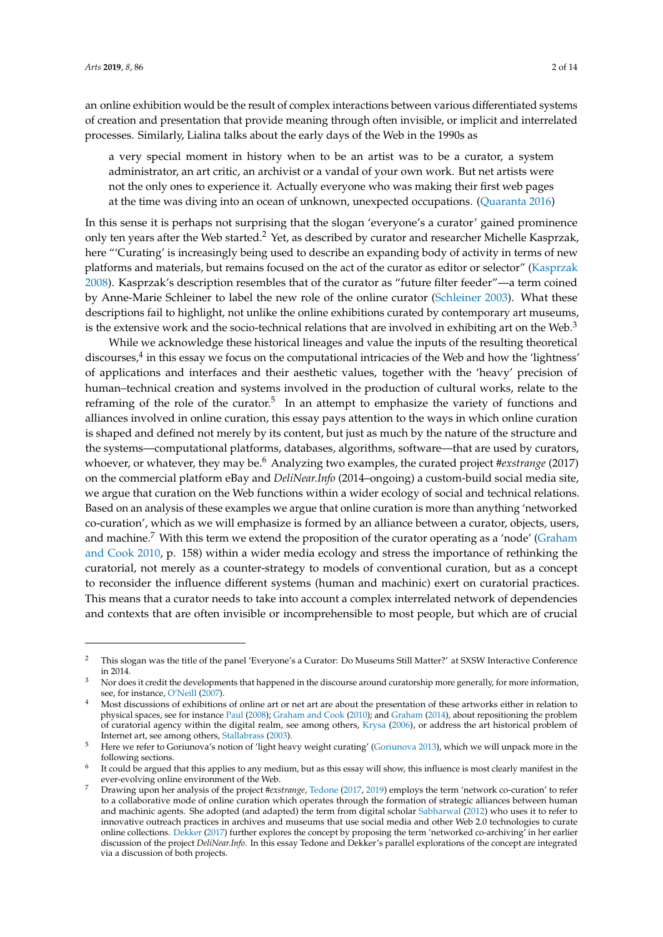an online exhibition would be the result of complex interactions between various differentiated systems of creation and presentation that provide meaning through often invisible, or implicit and interrelated processes. Similarly, Lialina talks about the early days of the Web in the 1990s as

a very special moment in history when to be an artist was to be a curator, a system administrator, an art critic, an archivist or a vandal of your own work. But net artists were not the only ones to experience it. Actually everyone who was making their first web pages at the time was diving into an ocean of unknown, unexpected occupations. [\(Quaranta](#page-13-0) [2016\)](#page-13-0)

In this sense it is perhaps not surprising that the slogan 'everyone's a curator' gained prominence only ten years after the Web started.<sup>2</sup> Yet, as described by curator and researcher Michelle Kasprzak, here "'Curating' is increasingly being used to describe an expanding body of activity in terms of new platforms and materials, but remains focused on the act of the curator as editor or selector" [\(Kasprzak](#page-13-1) [2008\)](#page-13-1). Kasprzak's description resembles that of the curator as "future filter feeder"—a term coined by Anne-Marie Schleiner to label the new role of the online curator [\(Schleiner](#page-14-0) [2003\)](#page-14-0). What these descriptions fail to highlight, not unlike the online exhibitions curated by contemporary art museums, is the extensive work and the socio-technical relations that are involved in exhibiting art on the Web.<sup>3</sup>

While we acknowledge these historical lineages and value the inputs of the resulting theoretical discourses,<sup>4</sup> in this essay we focus on the computational intricacies of the Web and how the 'lightness' of applications and interfaces and their aesthetic values, together with the 'heavy' precision of human–technical creation and systems involved in the production of cultural works, relate to the reframing of the role of the curator.<sup>5</sup> In an attempt to emphasize the variety of functions and alliances involved in online curation, this essay pays attention to the ways in which online curation is shaped and defined not merely by its content, but just as much by the nature of the structure and the systems—computational platforms, databases, algorithms, software—that are used by curators, whoever, or whatever, they may be.<sup>6</sup> Analyzing two examples, the curated project *#exstrange* (2017) on the commercial platform eBay and *DeliNear.Info* (2014–ongoing) a custom-build social media site, we argue that curation on the Web functions within a wider ecology of social and technical relations. Based on an analysis of these examples we argue that online curation is more than anything 'networked co-curation', which as we will emphasize is formed by an alliance between a curator, objects, users, and machine.<sup>7</sup> With this term we extend the proposition of the curator operating as a 'node' [\(Graham](#page-13-2) [and Cook](#page-13-2) [2010,](#page-13-2) p. 158) within a wider media ecology and stress the importance of rethinking the curatorial, not merely as a counter-strategy to models of conventional curation, but as a concept to reconsider the influence different systems (human and machinic) exert on curatorial practices. This means that a curator needs to take into account a complex interrelated network of dependencies and contexts that are often invisible or incomprehensible to most people, but which are of crucial

<sup>2</sup> This slogan was the title of the panel 'Everyone's a Curator: Do Museums Still Matter?' at SXSW Interactive Conference in 2014.

<sup>3</sup> Nor does it credit the developments that happened in the discourse around curatorship more generally, for more information, see, for instance, [O'Neill](#page-13-3) [\(2007\)](#page-13-3).

<sup>&</sup>lt;sup>4</sup> Most discussions of exhibitions of online art or net art are about the presentation of these artworks either in relation to physical spaces, see for instance [Paul](#page-13-4) [\(2008\)](#page-13-4); [Graham and Cook](#page-13-2) [\(2010\)](#page-13-2); and [Graham](#page-13-5) [\(2014\)](#page-13-5), about repositioning the problem of curatorial agency within the digital realm, see among others, [Krysa](#page-13-6) [\(2006\)](#page-13-6), or address the art historical problem of Internet art, see among others, [Stallabrass](#page-14-1) [\(2003\)](#page-14-1).

<sup>5</sup> Here we refer to Goriunova's notion of 'light heavy weight curating' [\(Goriunova](#page-13-7) [2013\)](#page-13-7), which we will unpack more in the following sections.

<sup>6</sup> It could be argued that this applies to any medium, but as this essay will show, this influence is most clearly manifest in the ever-evolving online environment of the Web.

<sup>7</sup> Drawing upon her analysis of the project *#exstrange*, [Tedone](#page-14-2) [\(2017,](#page-14-2) [2019\)](#page-14-3) employs the term 'network co-curation' to refer to a collaborative mode of online curation which operates through the formation of strategic alliances between human and machinic agents. She adopted (and adapted) the term from digital scholar [Sabharwal](#page-14-4) [\(2012\)](#page-14-4) who uses it to refer to innovative outreach practices in archives and museums that use social media and other Web 2.0 technologies to curate online collections. [Dekker](#page-12-1) [\(2017\)](#page-12-1) further explores the concept by proposing the term 'networked co-archiving' in her earlier discussion of the project *DeliNear.Info*. In this essay Tedone and Dekker's parallel explorations of the concept are integrated via a discussion of both projects.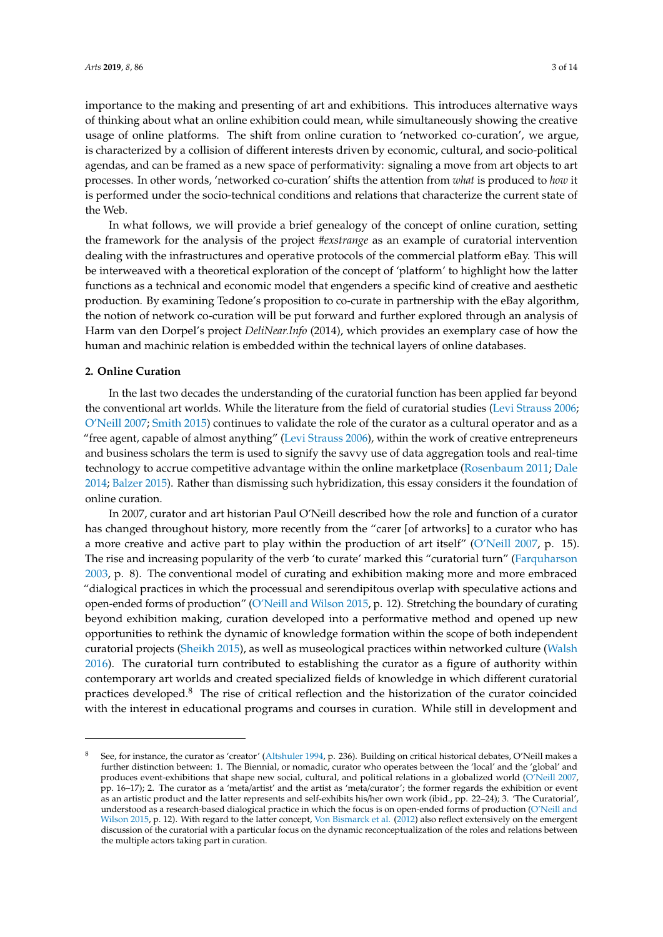importance to the making and presenting of art and exhibitions. This introduces alternative ways of thinking about what an online exhibition could mean, while simultaneously showing the creative usage of online platforms. The shift from online curation to 'networked co-curation', we argue, is characterized by a collision of different interests driven by economic, cultural, and socio-political agendas, and can be framed as a new space of performativity: signaling a move from art objects to art

the Web. In what follows, we will provide a brief genealogy of the concept of online curation, setting the framework for the analysis of the project *#exstrange* as an example of curatorial intervention dealing with the infrastructures and operative protocols of the commercial platform eBay. This will be interweaved with a theoretical exploration of the concept of 'platform' to highlight how the latter functions as a technical and economic model that engenders a specific kind of creative and aesthetic production. By examining Tedone's proposition to co-curate in partnership with the eBay algorithm, the notion of network co-curation will be put forward and further explored through an analysis of Harm van den Dorpel's project *DeliNear.Info* (2014), which provides an exemplary case of how the human and machinic relation is embedded within the technical layers of online databases.

processes. In other words, 'networked co-curation' shifts the attention from *what* is produced to *how* it is performed under the socio-technical conditions and relations that characterize the current state of

#### **2. Online Curation**

In the last two decades the understanding of the curatorial function has been applied far beyond the conventional art worlds. While the literature from the field of curatorial studies [\(Levi Strauss](#page-13-8) [2006;](#page-13-8) [O'Neill](#page-13-3) [2007;](#page-13-3) [Smith](#page-14-5) [2015\)](#page-14-5) continues to validate the role of the curator as a cultural operator and as a "free agent, capable of almost anything" [\(Levi Strauss](#page-13-8) [2006\)](#page-13-8), within the work of creative entrepreneurs and business scholars the term is used to signify the savvy use of data aggregation tools and real-time technology to accrue competitive advantage within the online marketplace [\(Rosenbaum](#page-14-6) [2011;](#page-14-6) [Dale](#page-12-2) [2014;](#page-12-2) [Balzer](#page-12-3) [2015\)](#page-12-3). Rather than dismissing such hybridization, this essay considers it the foundation of online curation.

In 2007, curator and art historian Paul O'Neill described how the role and function of a curator has changed throughout history, more recently from the "carer [of artworks] to a curator who has a more creative and active part to play within the production of art itself" [\(O'Neill](#page-13-3) [2007,](#page-13-3) p. 15). The rise and increasing popularity of the verb 'to curate' marked this "curatorial turn" [\(Farquharson](#page-12-4) [2003,](#page-12-4) p. 8). The conventional model of curating and exhibition making more and more embraced "dialogical practices in which the processual and serendipitous overlap with speculative actions and open-ended forms of production" [\(O'Neill and Wilson](#page-13-9) [2015,](#page-13-9) p. 12). Stretching the boundary of curating beyond exhibition making, curation developed into a performative method and opened up new opportunities to rethink the dynamic of knowledge formation within the scope of both independent curatorial projects [\(Sheikh](#page-14-7) [2015\)](#page-14-7), as well as museological practices within networked culture [\(Walsh](#page-14-8) [2016\)](#page-14-8). The curatorial turn contributed to establishing the curator as a figure of authority within contemporary art worlds and created specialized fields of knowledge in which different curatorial practices developed.<sup>8</sup> The rise of critical reflection and the historization of the curator coincided with the interest in educational programs and courses in curation. While still in development and

<sup>8</sup> See, for instance, the curator as 'creator' [\(Altshuler](#page-12-5) [1994,](#page-12-5) p. 236). Building on critical historical debates, O'Neill makes a further distinction between: 1. The Biennial, or nomadic, curator who operates between the 'local' and the 'global' and produces event-exhibitions that shape new social, cultural, and political relations in a globalized world [\(O'Neill](#page-13-3) [2007,](#page-13-3) pp. 16–17); 2. The curator as a 'meta/artist' and the artist as 'meta/curator'; the former regards the exhibition or event as an artistic product and the latter represents and self-exhibits his/her own work (ibid., pp. 22–24); 3. 'The Curatorial', understood as a research-based dialogical practice in which the focus is on open-ended forms of production [\(O'Neill and](#page-13-9) [Wilson](#page-13-9) [2015,](#page-13-9) p. 12). With regard to the latter concept, [Von Bismarck et al.](#page-14-9) [\(2012\)](#page-14-9) also reflect extensively on the emergent discussion of the curatorial with a particular focus on the dynamic reconceptualization of the roles and relations between the multiple actors taking part in curation.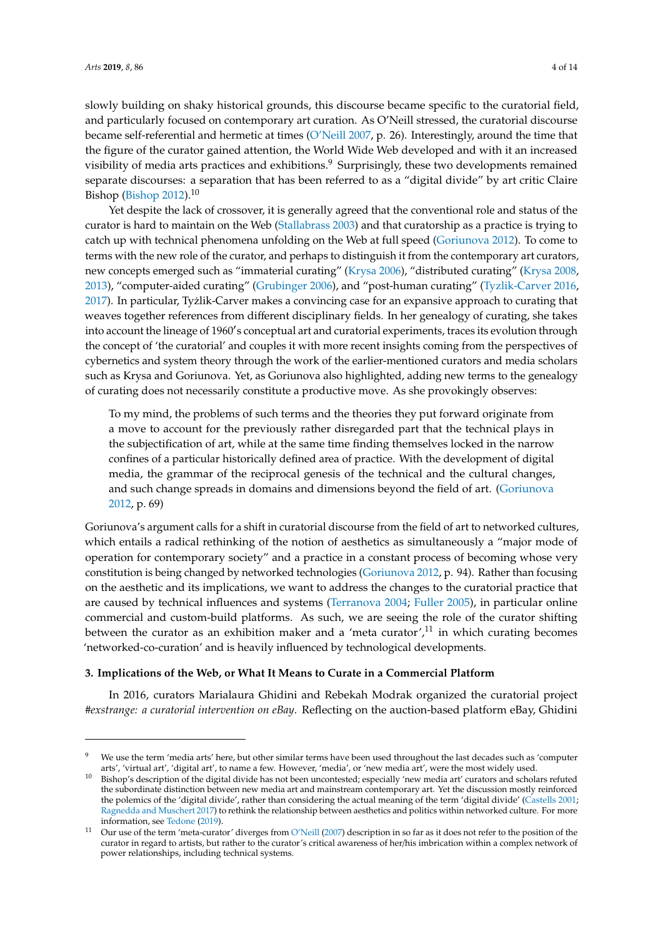slowly building on shaky historical grounds, this discourse became specific to the curatorial field, and particularly focused on contemporary art curation. As O'Neill stressed, the curatorial discourse became self-referential and hermetic at times [\(O'Neill](#page-13-3) [2007,](#page-13-3) p. 26). Interestingly, around the time that the figure of the curator gained attention, the World Wide Web developed and with it an increased visibility of media arts practices and exhibitions.<sup>9</sup> Surprisingly, these two developments remained separate discourses: a separation that has been referred to as a "digital divide" by art critic Claire

Bishop [\(Bishop](#page-12-6) [2012\)](#page-12-6).<sup>10</sup>

Yet despite the lack of crossover, it is generally agreed that the conventional role and status of the curator is hard to maintain on the Web [\(Stallabrass](#page-14-1) [2003\)](#page-14-1) and that curatorship as a practice is trying to catch up with technical phenomena unfolding on the Web at full speed [\(Goriunova](#page-13-10) [2012\)](#page-13-10). To come to terms with the new role of the curator, and perhaps to distinguish it from the contemporary art curators, new concepts emerged such as "immaterial curating" [\(Krysa](#page-13-6) [2006\)](#page-13-6), "distributed curating" [\(Krysa](#page-13-11) [2008,](#page-13-11) [2013\)](#page-13-12), "computer-aided curating" [\(Grubinger](#page-13-13) [2006\)](#page-13-13), and "post-human curating" [\(Tyzlik-Carver](#page-14-10) [2016,](#page-14-10) [2017\)](#page-14-11). In particular, Tyżlik-Carver makes a convincing case for an expansive approach to curating that weaves together references from different disciplinary fields. In her genealogy of curating, she takes into account the lineage of 1960's conceptual art and curatorial experiments, traces its evolution through the concept of 'the curatorial' and couples it with more recent insights coming from the perspectives of cybernetics and system theory through the work of the earlier-mentioned curators and media scholars such as Krysa and Goriunova. Yet, as Goriunova also highlighted, adding new terms to the genealogy of curating does not necessarily constitute a productive move. As she provokingly observes:

To my mind, the problems of such terms and the theories they put forward originate from a move to account for the previously rather disregarded part that the technical plays in the subjectification of art, while at the same time finding themselves locked in the narrow confines of a particular historically defined area of practice. With the development of digital media, the grammar of the reciprocal genesis of the technical and the cultural changes, and such change spreads in domains and dimensions beyond the field of art. [\(Goriunova](#page-13-10) [2012,](#page-13-10) p. 69)

Goriunova's argument calls for a shift in curatorial discourse from the field of art to networked cultures, which entails a radical rethinking of the notion of aesthetics as simultaneously a "major mode of operation for contemporary society" and a practice in a constant process of becoming whose very constitution is being changed by networked technologies [\(Goriunova](#page-13-10) [2012,](#page-13-10) p. 94). Rather than focusing on the aesthetic and its implications, we want to address the changes to the curatorial practice that are caused by technical influences and systems [\(Terranova](#page-14-12) [2004;](#page-14-12) [Fuller](#page-13-14) [2005\)](#page-13-14), in particular online commercial and custom-build platforms. As such, we are seeing the role of the curator shifting between the curator as an exhibition maker and a 'meta curator',<sup>11</sup> in which curating becomes 'networked-co-curation' and is heavily influenced by technological developments.

### **3. Implications of the Web, or What It Means to Curate in a Commercial Platform**

In 2016, curators Marialaura Ghidini and Rebekah Modrak organized the curatorial project *#exstrange: a curatorial intervention on eBay*. Reflecting on the auction-based platform eBay, Ghidini

<sup>9</sup> We use the term 'media arts' here, but other similar terms have been used throughout the last decades such as 'computer arts', 'virtual art', 'digital art', to name a few. However, 'media', or 'new media art', were the most widely used.

<sup>10</sup> Bishop's description of the digital divide has not been uncontested; especially 'new media art' curators and scholars refuted the subordinate distinction between new media art and mainstream contemporary art. Yet the discussion mostly reinforced the polemics of the 'digital divide', rather than considering the actual meaning of the term 'digital divide' [\(Castells](#page-12-7) [2001;](#page-12-7) [Ragnedda and Muschert](#page-13-15) [2017\)](#page-13-15) to rethink the relationship between aesthetics and politics within networked culture. For more information, see [Tedone](#page-14-3) [\(2019\)](#page-14-3).

<sup>&</sup>lt;sup>11</sup> Our use of the term 'meta-curator' diverges from [O'Neill](#page-13-3) [\(2007\)](#page-13-3) description in so far as it does not refer to the position of the curator in regard to artists, but rather to the curator's critical awareness of her/his imbrication within a complex network of power relationships, including technical systems.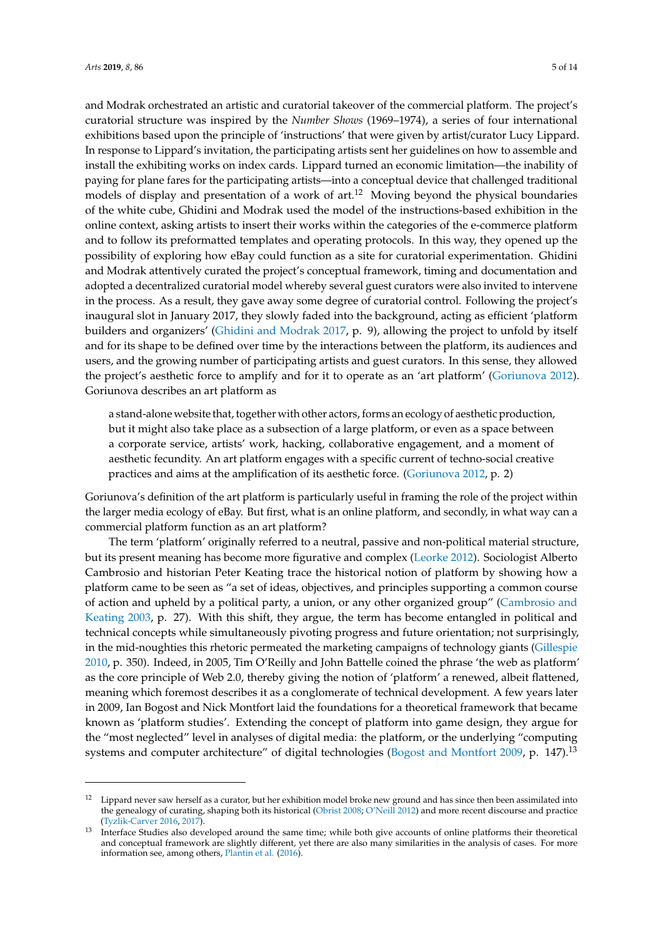and Modrak orchestrated an artistic and curatorial takeover of the commercial platform. The project's curatorial structure was inspired by the *Number Shows* (1969–1974), a series of four international exhibitions based upon the principle of 'instructions' that were given by artist/curator Lucy Lippard. In response to Lippard's invitation, the participating artists sent her guidelines on how to assemble and install the exhibiting works on index cards. Lippard turned an economic limitation—the inability of paying for plane fares for the participating artists—into a conceptual device that challenged traditional models of display and presentation of a work of art.<sup>12</sup> Moving beyond the physical boundaries of the white cube, Ghidini and Modrak used the model of the instructions-based exhibition in the online context, asking artists to insert their works within the categories of the e-commerce platform and to follow its preformatted templates and operating protocols. In this way, they opened up the possibility of exploring how eBay could function as a site for curatorial experimentation. Ghidini and Modrak attentively curated the project's conceptual framework, timing and documentation and adopted a decentralized curatorial model whereby several guest curators were also invited to intervene in the process. As a result, they gave away some degree of curatorial control. Following the project's inaugural slot in January 2017, they slowly faded into the background, acting as efficient 'platform builders and organizers' [\(Ghidini and Modrak](#page-13-16) [2017,](#page-13-16) p. 9), allowing the project to unfold by itself and for its shape to be defined over time by the interactions between the platform, its audiences and users, and the growing number of participating artists and guest curators. In this sense, they allowed the project's aesthetic force to amplify and for it to operate as an 'art platform' [\(Goriunova](#page-13-10) [2012\)](#page-13-10). Goriunova describes an art platform as

a stand-alone website that, together with other actors, forms an ecology of aesthetic production, but it might also take place as a subsection of a large platform, or even as a space between a corporate service, artists' work, hacking, collaborative engagement, and a moment of aesthetic fecundity. An art platform engages with a specific current of techno-social creative practices and aims at the amplification of its aesthetic force. [\(Goriunova](#page-13-10) [2012,](#page-13-10) p. 2)

Goriunova's definition of the art platform is particularly useful in framing the role of the project within the larger media ecology of eBay. But first, what is an online platform, and secondly, in what way can a commercial platform function as an art platform?

The term 'platform' originally referred to a neutral, passive and non-political material structure, but its present meaning has become more figurative and complex [\(Leorke](#page-13-17) [2012\)](#page-13-17). Sociologist Alberto Cambrosio and historian Peter Keating trace the historical notion of platform by showing how a platform came to be seen as "a set of ideas, objectives, and principles supporting a common course of action and upheld by a political party, a union, or any other organized group" [\(Cambrosio and](#page-12-8) [Keating](#page-12-8) [2003,](#page-12-8) p. 27). With this shift, they argue, the term has become entangled in political and technical concepts while simultaneously pivoting progress and future orientation; not surprisingly, in the mid-noughties this rhetoric permeated the marketing campaigns of technology giants [\(Gillespie](#page-13-18) [2010,](#page-13-18) p. 350). Indeed, in 2005, Tim O'Reilly and John Battelle coined the phrase 'the web as platform' as the core principle of Web 2.0, thereby giving the notion of 'platform' a renewed, albeit flattened, meaning which foremost describes it as a conglomerate of technical development. A few years later in 2009, Ian Bogost and Nick Montfort laid the foundations for a theoretical framework that became known as 'platform studies'. Extending the concept of platform into game design, they argue for the "most neglected" level in analyses of digital media: the platform, or the underlying "computing systems and computer architecture" of digital technologies [\(Bogost and Montfort](#page-12-9) [2009,](#page-12-9) p. 147).<sup>13</sup>

 $12$  Lippard never saw herself as a curator, but her exhibition model broke new ground and has since then been assimilated into the genealogy of curating, shaping both its historical [\(Obrist](#page-13-19) [2008;](#page-13-19) [O'Neill](#page-13-20) [2012\)](#page-13-20) and more recent discourse and practice [\(Tyzlik-Carver](#page-14-10) [2016,](#page-14-10) [2017\)](#page-14-11).

<sup>13</sup> Interface Studies also developed around the same time; while both give accounts of online platforms their theoretical and conceptual framework are slightly different, yet there are also many similarities in the analysis of cases. For more information see, among others, [Plantin et al.](#page-13-21) [\(2016\)](#page-13-21).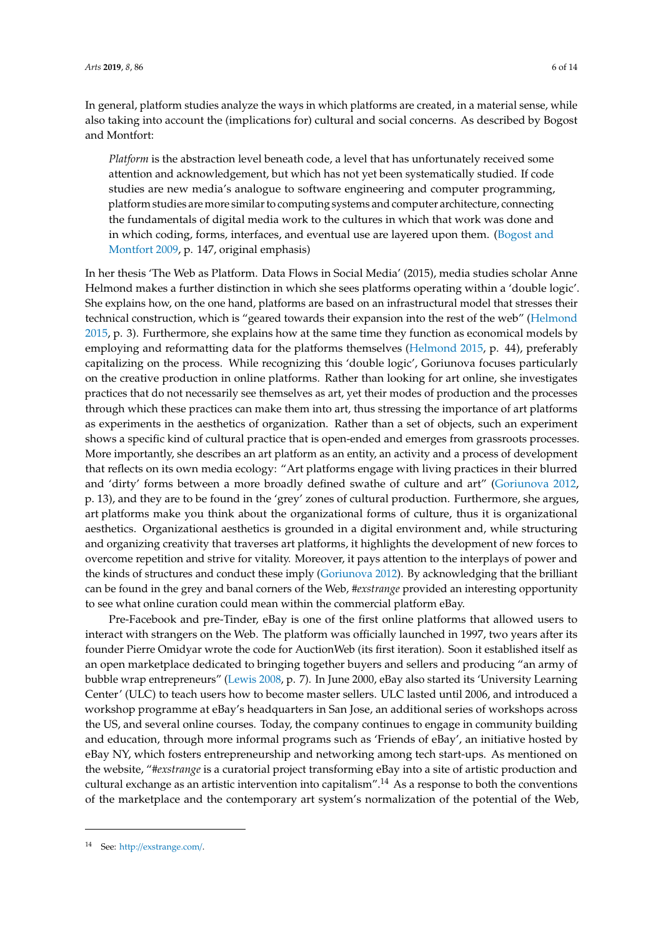In general, platform studies analyze the ways in which platforms are created, in a material sense, while also taking into account the (implications for) cultural and social concerns. As described by Bogost and Montfort:

*Platform* is the abstraction level beneath code, a level that has unfortunately received some attention and acknowledgement, but which has not yet been systematically studied. If code studies are new media's analogue to software engineering and computer programming, platform studies are more similar to computing systems and computer architecture, connecting the fundamentals of digital media work to the cultures in which that work was done and in which coding, forms, interfaces, and eventual use are layered upon them. [\(Bogost and](#page-12-9) [Montfort](#page-12-9) [2009,](#page-12-9) p. 147, original emphasis)

In her thesis 'The Web as Platform. Data Flows in Social Media' (2015), media studies scholar Anne Helmond makes a further distinction in which she sees platforms operating within a 'double logic'. She explains how, on the one hand, platforms are based on an infrastructural model that stresses their technical construction, which is "geared towards their expansion into the rest of the web" [\(Helmond](#page-13-22) [2015,](#page-13-22) p. 3). Furthermore, she explains how at the same time they function as economical models by employing and reformatting data for the platforms themselves [\(Helmond](#page-13-22) [2015,](#page-13-22) p. 44), preferably capitalizing on the process. While recognizing this 'double logic', Goriunova focuses particularly on the creative production in online platforms. Rather than looking for art online, she investigates practices that do not necessarily see themselves as art, yet their modes of production and the processes through which these practices can make them into art, thus stressing the importance of art platforms as experiments in the aesthetics of organization. Rather than a set of objects, such an experiment shows a specific kind of cultural practice that is open-ended and emerges from grassroots processes. More importantly, she describes an art platform as an entity, an activity and a process of development that reflects on its own media ecology: "Art platforms engage with living practices in their blurred and 'dirty' forms between a more broadly defined swathe of culture and art" [\(Goriunova](#page-13-10) [2012,](#page-13-10) p. 13), and they are to be found in the 'grey' zones of cultural production. Furthermore, she argues, art platforms make you think about the organizational forms of culture, thus it is organizational aesthetics. Organizational aesthetics is grounded in a digital environment and, while structuring and organizing creativity that traverses art platforms, it highlights the development of new forces to overcome repetition and strive for vitality. Moreover, it pays attention to the interplays of power and the kinds of structures and conduct these imply [\(Goriunova](#page-13-10) [2012\)](#page-13-10). By acknowledging that the brilliant can be found in the grey and banal corners of the Web, *#exstrange* provided an interesting opportunity to see what online curation could mean within the commercial platform eBay.

Pre-Facebook and pre-Tinder, eBay is one of the first online platforms that allowed users to interact with strangers on the Web. The platform was officially launched in 1997, two years after its founder Pierre Omidyar wrote the code for AuctionWeb (its first iteration). Soon it established itself as an open marketplace dedicated to bringing together buyers and sellers and producing "an army of bubble wrap entrepreneurs" [\(Lewis](#page-13-23) [2008,](#page-13-23) p. 7). In June 2000, eBay also started its 'University Learning Center' (ULC) to teach users how to become master sellers. ULC lasted until 2006, and introduced a workshop programme at eBay's headquarters in San Jose, an additional series of workshops across the US, and several online courses. Today, the company continues to engage in community building and education, through more informal programs such as 'Friends of eBay', an initiative hosted by eBay NY, which fosters entrepreneurship and networking among tech start-ups. As mentioned on the website, "*#exstrange* is a curatorial project transforming eBay into a site of artistic production and cultural exchange as an artistic intervention into capitalism".<sup>14</sup> As a response to both the conventions of the marketplace and the contemporary art system's normalization of the potential of the Web,

<sup>14</sup> See: http://[exstrange.com](http://exstrange.com/)/.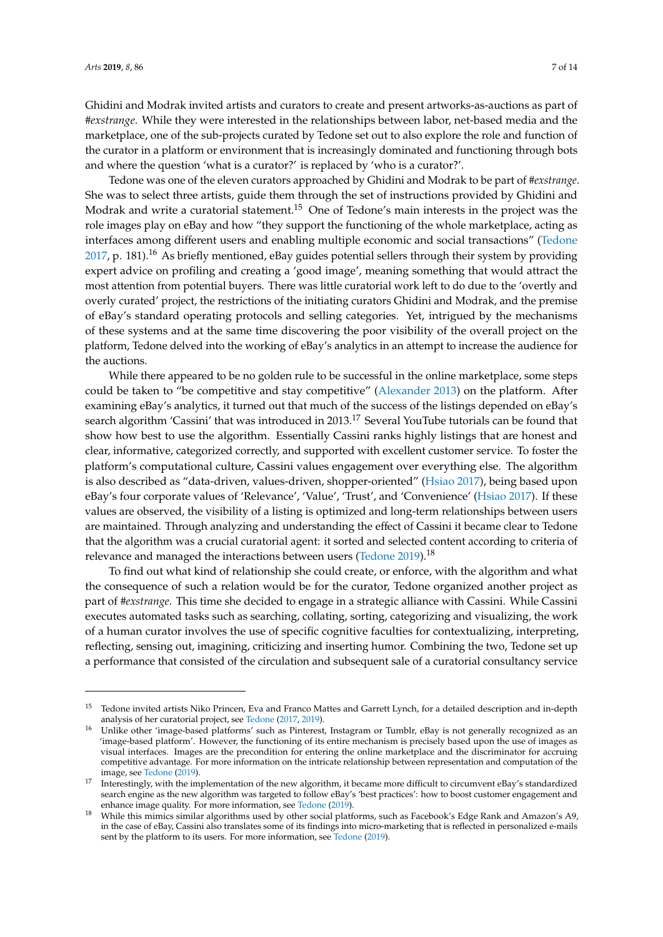Ghidini and Modrak invited artists and curators to create and present artworks-as-auctions as part of *#exstrange*. While they were interested in the relationships between labor, net-based media and the marketplace, one of the sub-projects curated by Tedone set out to also explore the role and function of the curator in a platform or environment that is increasingly dominated and functioning through bots and where the question 'what is a curator?' is replaced by 'who is a curator?'.

Tedone was one of the eleven curators approached by Ghidini and Modrak to be part of *#exstrange*. She was to select three artists, guide them through the set of instructions provided by Ghidini and Modrak and write a curatorial statement.<sup>15</sup> One of Tedone's main interests in the project was the role images play on eBay and how "they support the functioning of the whole marketplace, acting as interfaces among different users and enabling multiple economic and social transactions" [\(Tedone](#page-14-2) [2017,](#page-14-2) p. 181).<sup>16</sup> As briefly mentioned, eBay guides potential sellers through their system by providing expert advice on profiling and creating a 'good image', meaning something that would attract the most attention from potential buyers. There was little curatorial work left to do due to the 'overtly and overly curated' project, the restrictions of the initiating curators Ghidini and Modrak, and the premise of eBay's standard operating protocols and selling categories. Yet, intrigued by the mechanisms of these systems and at the same time discovering the poor visibility of the overall project on the platform, Tedone delved into the working of eBay's analytics in an attempt to increase the audience for the auctions.

While there appeared to be no golden rule to be successful in the online marketplace, some steps could be taken to "be competitive and stay competitive" [\(Alexander](#page-12-10) [2013\)](#page-12-10) on the platform. After examining eBay's analytics, it turned out that much of the success of the listings depended on eBay's search algorithm 'Cassini' that was introduced in 2013.<sup>17</sup> Several YouTube tutorials can be found that show how best to use the algorithm. Essentially Cassini ranks highly listings that are honest and clear, informative, categorized correctly, and supported with excellent customer service. To foster the platform's computational culture, Cassini values engagement over everything else. The algorithm is also described as "data-driven, values-driven, shopper-oriented" [\(Hsiao](#page-13-24) [2017\)](#page-13-24), being based upon eBay's four corporate values of 'Relevance', 'Value', 'Trust', and 'Convenience' [\(Hsiao](#page-13-24) [2017\)](#page-13-24). If these values are observed, the visibility of a listing is optimized and long-term relationships between users are maintained. Through analyzing and understanding the effect of Cassini it became clear to Tedone that the algorithm was a crucial curatorial agent: it sorted and selected content according to criteria of relevance and managed the interactions between users [\(Tedone](#page-14-3) [2019\)](#page-14-3).<sup>18</sup>

To find out what kind of relationship she could create, or enforce, with the algorithm and what the consequence of such a relation would be for the curator, Tedone organized another project as part of *#exstrange*. This time she decided to engage in a strategic alliance with Cassini. While Cassini executes automated tasks such as searching, collating, sorting, categorizing and visualizing, the work of a human curator involves the use of specific cognitive faculties for contextualizing, interpreting, reflecting, sensing out, imagining, criticizing and inserting humor. Combining the two, Tedone set up a performance that consisted of the circulation and subsequent sale of a curatorial consultancy service

<sup>&</sup>lt;sup>15</sup> Tedone invited artists Niko Princen, Eva and Franco Mattes and Garrett Lynch, for a detailed description and in-depth analysis of her curatorial project, see [Tedone](#page-14-2) [\(2017,](#page-14-2) [2019\)](#page-14-3).

Unlike other 'image-based platforms' such as Pinterest, Instagram or Tumblr, eBay is not generally recognized as an 'image-based platform'. However, the functioning of its entire mechanism is precisely based upon the use of images as visual interfaces. Images are the precondition for entering the online marketplace and the discriminator for accruing competitive advantage. For more information on the intricate relationship between representation and computation of the image, see [Tedone](#page-14-3) [\(2019\)](#page-14-3).

<sup>&</sup>lt;sup>17</sup> Interestingly, with the implementation of the new algorithm, it became more difficult to circumvent eBay's standardized search engine as the new algorithm was targeted to follow eBay's 'best practices': how to boost customer engagement and enhance image quality. For more information, see [Tedone](#page-14-3) [\(2019\)](#page-14-3).

<sup>18</sup> While this mimics similar algorithms used by other social platforms, such as Facebook's Edge Rank and Amazon's A9, in the case of eBay, Cassini also translates some of its findings into micro-marketing that is reflected in personalized e-mails sent by the platform to its users. For more information, see [Tedone](#page-14-3) [\(2019\)](#page-14-3).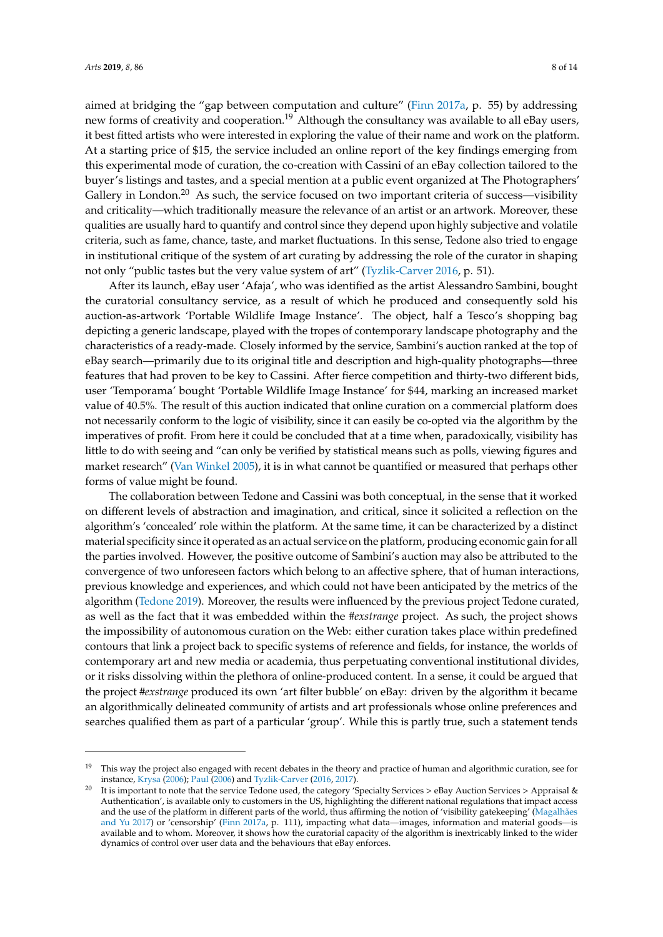aimed at bridging the "gap between computation and culture" [\(Finn](#page-12-11) [2017a,](#page-12-11) p. 55) by addressing new forms of creativity and cooperation.<sup>19</sup> Although the consultancy was available to all eBay users, it best fitted artists who were interested in exploring the value of their name and work on the platform. At a starting price of \$15, the service included an online report of the key findings emerging from this experimental mode of curation, the co-creation with Cassini of an eBay collection tailored to the buyer's listings and tastes, and a special mention at a public event organized at The Photographers' Gallery in London.<sup>20</sup> As such, the service focused on two important criteria of success—visibility and criticality—which traditionally measure the relevance of an artist or an artwork. Moreover, these qualities are usually hard to quantify and control since they depend upon highly subjective and volatile criteria, such as fame, chance, taste, and market fluctuations. In this sense, Tedone also tried to engage in institutional critique of the system of art curating by addressing the role of the curator in shaping not only "public tastes but the very value system of art" [\(Tyzlik-Carver](#page-14-10) [2016,](#page-14-10) p. 51).

After its launch, eBay user 'Afaja', who was identified as the artist Alessandro Sambini, bought the curatorial consultancy service, as a result of which he produced and consequently sold his auction-as-artwork 'Portable Wildlife Image Instance'. The object, half a Tesco's shopping bag depicting a generic landscape, played with the tropes of contemporary landscape photography and the characteristics of a ready-made. Closely informed by the service, Sambini's auction ranked at the top of eBay search—primarily due to its original title and description and high-quality photographs—three features that had proven to be key to Cassini. After fierce competition and thirty-two different bids, user 'Temporama' bought 'Portable Wildlife Image Instance' for \$44, marking an increased market value of 40.5%. The result of this auction indicated that online curation on a commercial platform does not necessarily conform to the logic of visibility, since it can easily be co-opted via the algorithm by the imperatives of profit. From here it could be concluded that at a time when, paradoxically, visibility has little to do with seeing and "can only be verified by statistical means such as polls, viewing figures and market research" [\(Van Winkel](#page-14-13) [2005\)](#page-14-13), it is in what cannot be quantified or measured that perhaps other forms of value might be found.

The collaboration between Tedone and Cassini was both conceptual, in the sense that it worked on different levels of abstraction and imagination, and critical, since it solicited a reflection on the algorithm's 'concealed' role within the platform. At the same time, it can be characterized by a distinct material specificity since it operated as an actual service on the platform, producing economic gain for all the parties involved. However, the positive outcome of Sambini's auction may also be attributed to the convergence of two unforeseen factors which belong to an affective sphere, that of human interactions, previous knowledge and experiences, and which could not have been anticipated by the metrics of the algorithm [\(Tedone](#page-14-3) [2019\)](#page-14-3). Moreover, the results were influenced by the previous project Tedone curated, as well as the fact that it was embedded within the *#exstrange* project. As such, the project shows the impossibility of autonomous curation on the Web: either curation takes place within predefined contours that link a project back to specific systems of reference and fields, for instance, the worlds of contemporary art and new media or academia, thus perpetuating conventional institutional divides, or it risks dissolving within the plethora of online-produced content. In a sense, it could be argued that the project *#exstrange* produced its own 'art filter bubble' on eBay: driven by the algorithm it became an algorithmically delineated community of artists and art professionals whose online preferences and searches qualified them as part of a particular 'group'. While this is partly true, such a statement tends

<sup>&</sup>lt;sup>19</sup> This way the project also engaged with recent debates in the theory and practice of human and algorithmic curation, see for instance, [Krysa](#page-13-6) [\(2006\)](#page-13-6); [Paul](#page-13-25) [\(2006\)](#page-13-25) and [Tyzlik-Carver](#page-14-10) [\(2016,](#page-14-10) [2017\)](#page-14-11).

<sup>20</sup> It is important to note that the service Tedone used, the category 'Specialty Services > eBay Auction Services > Appraisal & Authentication', is available only to customers in the US, highlighting the different national regulations that impact access and the use of the platform in different parts of the world, thus affirming the notion of 'visibility gatekeeping' [\(Magalh](#page-13-26)ães [and Yu](#page-13-26) [2017\)](#page-13-26) or 'censorship' [\(Finn](#page-12-11) [2017a,](#page-12-11) p. 111), impacting what data—images, information and material goods—is available and to whom. Moreover, it shows how the curatorial capacity of the algorithm is inextricably linked to the wider dynamics of control over user data and the behaviours that eBay enforces.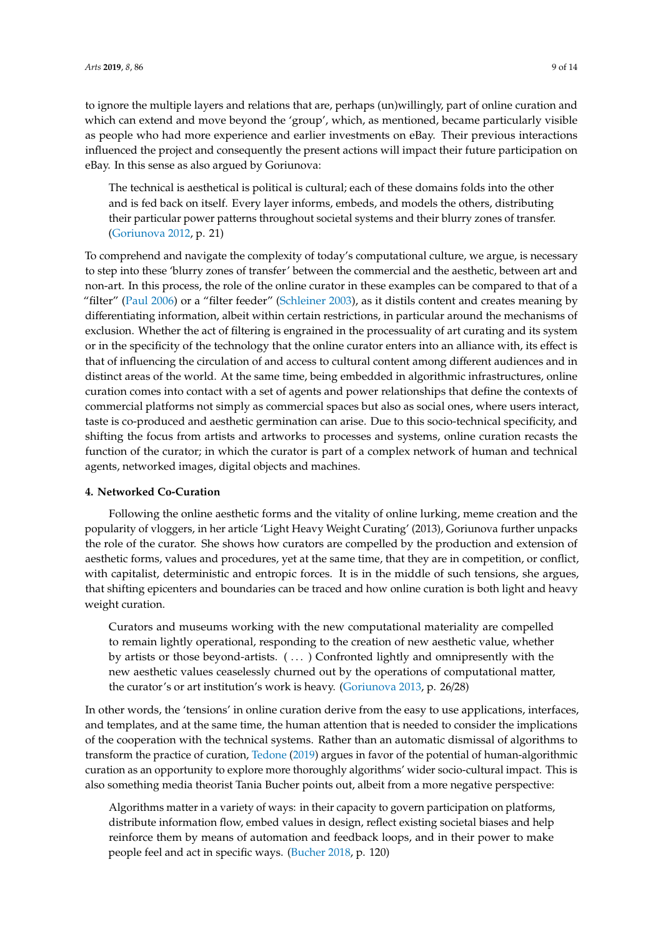to ignore the multiple layers and relations that are, perhaps (un)willingly, part of online curation and which can extend and move beyond the 'group', which, as mentioned, became particularly visible as people who had more experience and earlier investments on eBay. Their previous interactions influenced the project and consequently the present actions will impact their future participation on eBay. In this sense as also argued by Goriunova:

The technical is aesthetical is political is cultural; each of these domains folds into the other and is fed back on itself. Every layer informs, embeds, and models the others, distributing their particular power patterns throughout societal systems and their blurry zones of transfer. [\(Goriunova](#page-13-10) [2012,](#page-13-10) p. 21)

To comprehend and navigate the complexity of today's computational culture, we argue, is necessary to step into these 'blurry zones of transfer' between the commercial and the aesthetic, between art and non-art. In this process, the role of the online curator in these examples can be compared to that of a "filter" [\(Paul](#page-13-25) [2006\)](#page-13-25) or a "filter feeder" [\(Schleiner](#page-14-0) [2003\)](#page-14-0), as it distils content and creates meaning by differentiating information, albeit within certain restrictions, in particular around the mechanisms of exclusion. Whether the act of filtering is engrained in the processuality of art curating and its system or in the specificity of the technology that the online curator enters into an alliance with, its effect is that of influencing the circulation of and access to cultural content among different audiences and in distinct areas of the world. At the same time, being embedded in algorithmic infrastructures, online curation comes into contact with a set of agents and power relationships that define the contexts of commercial platforms not simply as commercial spaces but also as social ones, where users interact, taste is co-produced and aesthetic germination can arise. Due to this socio-technical specificity, and shifting the focus from artists and artworks to processes and systems, online curation recasts the function of the curator; in which the curator is part of a complex network of human and technical agents, networked images, digital objects and machines.

### **4. Networked Co-Curation**

Following the online aesthetic forms and the vitality of online lurking, meme creation and the popularity of vloggers, in her article 'Light Heavy Weight Curating' (2013), Goriunova further unpacks the role of the curator. She shows how curators are compelled by the production and extension of aesthetic forms, values and procedures, yet at the same time, that they are in competition, or conflict, with capitalist, deterministic and entropic forces. It is in the middle of such tensions, she argues, that shifting epicenters and boundaries can be traced and how online curation is both light and heavy weight curation.

Curators and museums working with the new computational materiality are compelled to remain lightly operational, responding to the creation of new aesthetic value, whether by artists or those beyond-artists. ( . . . ) Confronted lightly and omnipresently with the new aesthetic values ceaselessly churned out by the operations of computational matter, the curator's or art institution's work is heavy. [\(Goriunova](#page-13-7) [2013,](#page-13-7) p. 26/28)

In other words, the 'tensions' in online curation derive from the easy to use applications, interfaces, and templates, and at the same time, the human attention that is needed to consider the implications of the cooperation with the technical systems. Rather than an automatic dismissal of algorithms to transform the practice of curation, [Tedone](#page-14-3) [\(2019\)](#page-14-3) argues in favor of the potential of human-algorithmic curation as an opportunity to explore more thoroughly algorithms' wider socio-cultural impact. This is also something media theorist Tania Bucher points out, albeit from a more negative perspective:

Algorithms matter in a variety of ways: in their capacity to govern participation on platforms, distribute information flow, embed values in design, reflect existing societal biases and help reinforce them by means of automation and feedback loops, and in their power to make people feel and act in specific ways. [\(Bucher](#page-12-12) [2018,](#page-12-12) p. 120)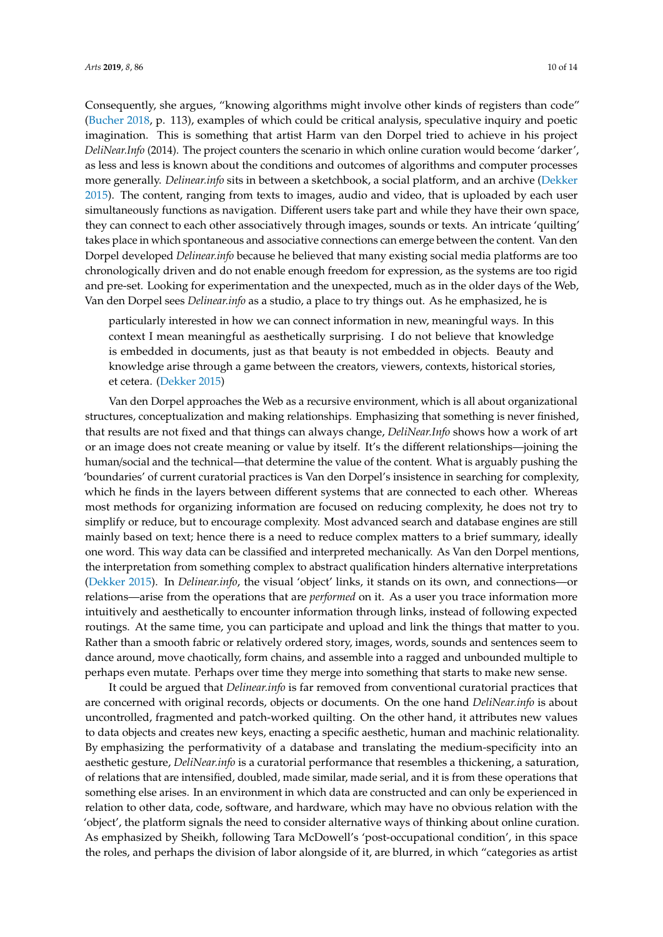Consequently, she argues, "knowing algorithms might involve other kinds of registers than code" [\(Bucher](#page-12-12) [2018,](#page-12-12) p. 113), examples of which could be critical analysis, speculative inquiry and poetic imagination. This is something that artist Harm van den Dorpel tried to achieve in his project *DeliNear.Info* (2014). The project counters the scenario in which online curation would become 'darker', as less and less is known about the conditions and outcomes of algorithms and computer processes more generally. *Delinear.info* sits in between a sketchbook, a social platform, and an archive [\(Dekker](#page-12-13) [2015\)](#page-12-13). The content, ranging from texts to images, audio and video, that is uploaded by each user simultaneously functions as navigation. Different users take part and while they have their own space, they can connect to each other associatively through images, sounds or texts. An intricate 'quilting' takes place in which spontaneous and associative connections can emerge between the content. Van den Dorpel developed *Delinear.info* because he believed that many existing social media platforms are too chronologically driven and do not enable enough freedom for expression, as the systems are too rigid and pre-set. Looking for experimentation and the unexpected, much as in the older days of the Web, Van den Dorpel sees *Delinear.info* as a studio, a place to try things out. As he emphasized, he is

particularly interested in how we can connect information in new, meaningful ways. In this context I mean meaningful as aesthetically surprising. I do not believe that knowledge is embedded in documents, just as that beauty is not embedded in objects. Beauty and knowledge arise through a game between the creators, viewers, contexts, historical stories, et cetera. [\(Dekker](#page-12-13) [2015\)](#page-12-13)

Van den Dorpel approaches the Web as a recursive environment, which is all about organizational structures, conceptualization and making relationships. Emphasizing that something is never finished, that results are not fixed and that things can always change, *DeliNear.Info* shows how a work of art or an image does not create meaning or value by itself. It's the different relationships—joining the human/social and the technical—that determine the value of the content. What is arguably pushing the 'boundaries' of current curatorial practices is Van den Dorpel's insistence in searching for complexity, which he finds in the layers between different systems that are connected to each other. Whereas most methods for organizing information are focused on reducing complexity, he does not try to simplify or reduce, but to encourage complexity. Most advanced search and database engines are still mainly based on text; hence there is a need to reduce complex matters to a brief summary, ideally one word. This way data can be classified and interpreted mechanically. As Van den Dorpel mentions, the interpretation from something complex to abstract qualification hinders alternative interpretations [\(Dekker](#page-12-13) [2015\)](#page-12-13). In *Delinear.info*, the visual 'object' links, it stands on its own, and connections—or relations—arise from the operations that are *performed* on it. As a user you trace information more intuitively and aesthetically to encounter information through links, instead of following expected routings. At the same time, you can participate and upload and link the things that matter to you. Rather than a smooth fabric or relatively ordered story, images, words, sounds and sentences seem to dance around, move chaotically, form chains, and assemble into a ragged and unbounded multiple to perhaps even mutate. Perhaps over time they merge into something that starts to make new sense.

It could be argued that *Delinear.info* is far removed from conventional curatorial practices that are concerned with original records, objects or documents. On the one hand *DeliNear.info* is about uncontrolled, fragmented and patch-worked quilting. On the other hand, it attributes new values to data objects and creates new keys, enacting a specific aesthetic, human and machinic relationality. By emphasizing the performativity of a database and translating the medium-specificity into an aesthetic gesture, *DeliNear.info* is a curatorial performance that resembles a thickening, a saturation, of relations that are intensified, doubled, made similar, made serial, and it is from these operations that something else arises. In an environment in which data are constructed and can only be experienced in relation to other data, code, software, and hardware, which may have no obvious relation with the 'object', the platform signals the need to consider alternative ways of thinking about online curation. As emphasized by Sheikh, following Tara McDowell's 'post-occupational condition', in this space the roles, and perhaps the division of labor alongside of it, are blurred, in which "categories as artist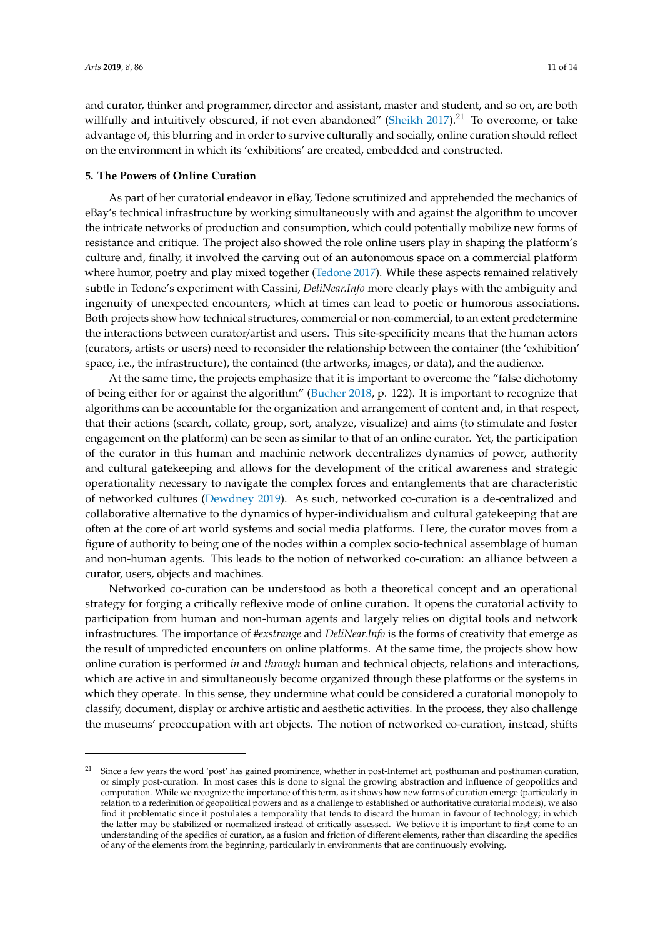and curator, thinker and programmer, director and assistant, master and student, and so on, are both willfully and intuitively obscured, if not even abandoned" [\(Sheikh](#page-14-14)  $2017$ ).<sup>21</sup> To overcome, or take advantage of, this blurring and in order to survive culturally and socially, online curation should reflect on the environment in which its 'exhibitions' are created, embedded and constructed.

#### **5. The Powers of Online Curation**

As part of her curatorial endeavor in eBay, Tedone scrutinized and apprehended the mechanics of eBay's technical infrastructure by working simultaneously with and against the algorithm to uncover the intricate networks of production and consumption, which could potentially mobilize new forms of resistance and critique. The project also showed the role online users play in shaping the platform's culture and, finally, it involved the carving out of an autonomous space on a commercial platform where humor, poetry and play mixed together [\(Tedone](#page-14-2) [2017\)](#page-14-2). While these aspects remained relatively subtle in Tedone's experiment with Cassini, *DeliNear.Info* more clearly plays with the ambiguity and ingenuity of unexpected encounters, which at times can lead to poetic or humorous associations. Both projects show how technical structures, commercial or non-commercial, to an extent predetermine the interactions between curator/artist and users. This site-specificity means that the human actors (curators, artists or users) need to reconsider the relationship between the container (the 'exhibition' space, i.e., the infrastructure), the contained (the artworks, images, or data), and the audience.

At the same time, the projects emphasize that it is important to overcome the "false dichotomy of being either for or against the algorithm" [\(Bucher](#page-12-12) [2018,](#page-12-12) p. 122). It is important to recognize that algorithms can be accountable for the organization and arrangement of content and, in that respect, that their actions (search, collate, group, sort, analyze, visualize) and aims (to stimulate and foster engagement on the platform) can be seen as similar to that of an online curator. Yet, the participation of the curator in this human and machinic network decentralizes dynamics of power, authority and cultural gatekeeping and allows for the development of the critical awareness and strategic operationality necessary to navigate the complex forces and entanglements that are characteristic of networked cultures [\(Dewdney](#page-12-14) [2019\)](#page-12-14). As such, networked co-curation is a de-centralized and collaborative alternative to the dynamics of hyper-individualism and cultural gatekeeping that are often at the core of art world systems and social media platforms. Here, the curator moves from a figure of authority to being one of the nodes within a complex socio-technical assemblage of human and non-human agents. This leads to the notion of networked co-curation: an alliance between a curator, users, objects and machines.

Networked co-curation can be understood as both a theoretical concept and an operational strategy for forging a critically reflexive mode of online curation. It opens the curatorial activity to participation from human and non-human agents and largely relies on digital tools and network infrastructures. The importance of *#exstrange* and *DeliNear.Info* is the forms of creativity that emerge as the result of unpredicted encounters on online platforms. At the same time, the projects show how online curation is performed *in* and *through* human and technical objects, relations and interactions, which are active in and simultaneously become organized through these platforms or the systems in which they operate. In this sense, they undermine what could be considered a curatorial monopoly to classify, document, display or archive artistic and aesthetic activities. In the process, they also challenge the museums' preoccupation with art objects. The notion of networked co-curation, instead, shifts

<sup>&</sup>lt;sup>21</sup> Since a few years the word 'post' has gained prominence, whether in post-Internet art, posthuman and posthuman curation, or simply post-curation. In most cases this is done to signal the growing abstraction and influence of geopolitics and computation. While we recognize the importance of this term, as it shows how new forms of curation emerge (particularly in relation to a redefinition of geopolitical powers and as a challenge to established or authoritative curatorial models), we also find it problematic since it postulates a temporality that tends to discard the human in favour of technology; in which the latter may be stabilized or normalized instead of critically assessed. We believe it is important to first come to an understanding of the specifics of curation, as a fusion and friction of different elements, rather than discarding the specifics of any of the elements from the beginning, particularly in environments that are continuously evolving.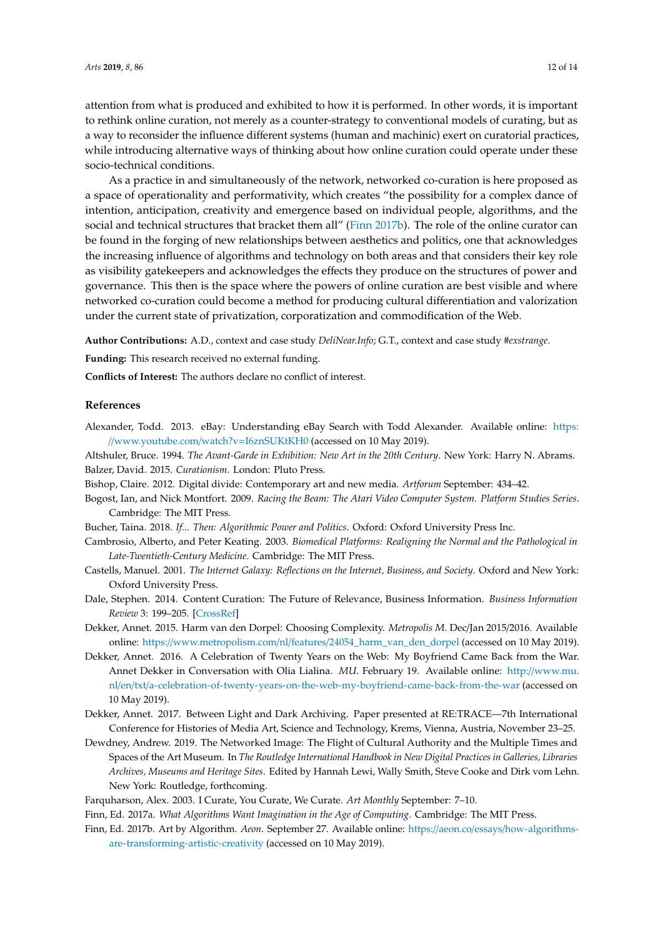attention from what is produced and exhibited to how it is performed. In other words, it is important to rethink online curation, not merely as a counter-strategy to conventional models of curating, but as a way to reconsider the influence different systems (human and machinic) exert on curatorial practices, while introducing alternative ways of thinking about how online curation could operate under these socio-technical conditions.

As a practice in and simultaneously of the network, networked co-curation is here proposed as a space of operationality and performativity, which creates "the possibility for a complex dance of intention, anticipation, creativity and emergence based on individual people, algorithms, and the social and technical structures that bracket them all" [\(Finn](#page-12-15) [2017b\)](#page-12-15). The role of the online curator can be found in the forging of new relationships between aesthetics and politics, one that acknowledges the increasing influence of algorithms and technology on both areas and that considers their key role as visibility gatekeepers and acknowledges the effects they produce on the structures of power and governance. This then is the space where the powers of online curation are best visible and where networked co-curation could become a method for producing cultural differentiation and valorization under the current state of privatization, corporatization and commodification of the Web.

**Author Contributions:** A.D., context and case study *DeliNear.Info*; G.T., context and case study *#exstrange*.

**Funding:** This research received no external funding.

**Conflicts of Interest:** The authors declare no conflict of interest.

#### **References**

<span id="page-12-10"></span>Alexander, Todd. 2013. eBay: Understanding eBay Search with Todd Alexander. Available online: [https:](https://www.youtube.com/watch?v=I6znSUKtKH0) //[www.youtube.com](https://www.youtube.com/watch?v=I6znSUKtKH0)/watch?v=I6znSUKtKH0 (accessed on 10 May 2019).

<span id="page-12-5"></span><span id="page-12-3"></span>Altshuler, Bruce. 1994. *The Avant-Garde in Exhibition: New Art in the 20th Century*. New York: Harry N. Abrams. Balzer, David. 2015. *Curationism*. London: Pluto Press.

<span id="page-12-6"></span>Bishop, Claire. 2012. Digital divide: Contemporary art and new media. *Artforum* September: 434–42.

- <span id="page-12-9"></span>Bogost, Ian, and Nick Montfort. 2009. *Racing the Beam: The Atari Video Computer System. Platform Studies Series*. Cambridge: The MIT Press.
- <span id="page-12-12"></span>Bucher, Taina. 2018. *If... Then: Algorithmic Power and Politics*. Oxford: Oxford University Press Inc.
- <span id="page-12-8"></span>Cambrosio, Alberto, and Peter Keating. 2003. *Biomedical Platforms: Realigning the Normal and the Pathological in Late-Twentieth-Century Medicine*. Cambridge: The MIT Press.
- <span id="page-12-7"></span>Castells, Manuel. 2001. *The Internet Galaxy: Reflections on the Internet, Business, and Society*. Oxford and New York: Oxford University Press.
- <span id="page-12-2"></span>Dale, Stephen. 2014. Content Curation: The Future of Relevance, Business Information. *Business Information Review* 3: 199–205. [\[CrossRef\]](http://dx.doi.org/10.1177/0266382114564267)
- <span id="page-12-13"></span>Dekker, Annet. 2015. Harm van den Dorpel: Choosing Complexity. *Metropolis M*. Dec/Jan 2015/2016. Available online: https://www.metropolism.com/nl/features/[24054\\_harm\\_van\\_den\\_dorpel](https://www.metropolism.com/nl/features/24054_harm_van_den_dorpel) (accessed on 10 May 2019).
- <span id="page-12-0"></span>Dekker, Annet. 2016. A Celebration of Twenty Years on the Web: My Boyfriend Came Back from the War. Annet Dekker in Conversation with Olia Lialina. *MU*. February 19. Available online: http://[www.mu.](http://www.mu.nl/en/txt/a-celebration-of-twenty-years-on-the-web-my-boyfriend-came-back-from-the-war) nl/en/txt/[a-celebration-of-twenty-years-on-the-web-my-boyfriend-came-back-from-the-war](http://www.mu.nl/en/txt/a-celebration-of-twenty-years-on-the-web-my-boyfriend-came-back-from-the-war) (accessed on 10 May 2019).
- <span id="page-12-1"></span>Dekker, Annet. 2017. Between Light and Dark Archiving. Paper presented at RE:TRACE—7th International Conference for Histories of Media Art, Science and Technology, Krems, Vienna, Austria, November 23–25.
- <span id="page-12-14"></span>Dewdney, Andrew. 2019. The Networked Image: The Flight of Cultural Authority and the Multiple Times and Spaces of the Art Museum. In *The Routledge International Handbook in New Digital Practices in Galleries, Libraries Archives, Museums and Heritage Sites*. Edited by Hannah Lewi, Wally Smith, Steve Cooke and Dirk vom Lehn. New York: Routledge, forthcoming.
- <span id="page-12-11"></span><span id="page-12-4"></span>Farquharson, Alex. 2003. I Curate, You Curate, We Curate. *Art Monthly* September: 7–10.
- <span id="page-12-15"></span>Finn, Ed. 2017a. *What Algorithms Want Imagination in the Age of Computing*. Cambridge: The MIT Press.
- Finn, Ed. 2017b. Art by Algorithm. *Aeon*. September 27. Available online: https://aeon.co/essays/[how-algorithms](https://aeon.co/essays/how-algorithms-are-transforming-artistic-creativity)[are-transforming-artistic-creativity](https://aeon.co/essays/how-algorithms-are-transforming-artistic-creativity) (accessed on 10 May 2019).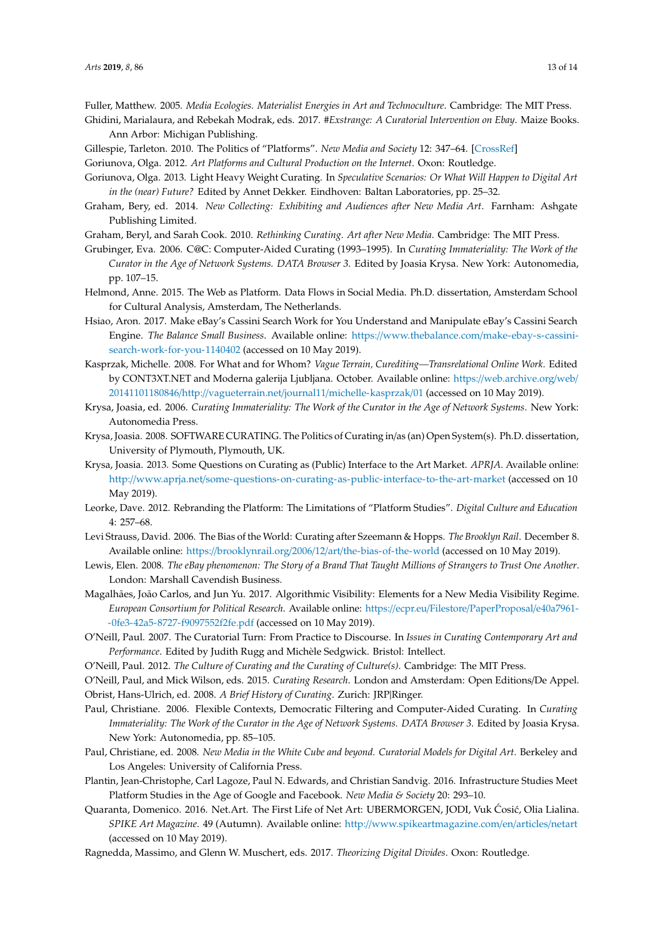<span id="page-13-14"></span>Fuller, Matthew. 2005. *Media Ecologies. Materialist Energies in Art and Technoculture*. Cambridge: The MIT Press.

- <span id="page-13-16"></span>Ghidini, Marialaura, and Rebekah Modrak, eds. 2017. *#Exstrange: A Curatorial Intervention on Ebay*. Maize Books. Ann Arbor: Michigan Publishing.
- <span id="page-13-18"></span>Gillespie, Tarleton. 2010. The Politics of "Platforms". *New Media and Society* 12: 347–64. [\[CrossRef\]](http://dx.doi.org/10.1177/1461444809342738)
- <span id="page-13-10"></span>Goriunova, Olga. 2012. *Art Platforms and Cultural Production on the Internet*. Oxon: Routledge.
- <span id="page-13-7"></span>Goriunova, Olga. 2013. Light Heavy Weight Curating. In *Speculative Scenarios: Or What Will Happen to Digital Art in the (near) Future?* Edited by Annet Dekker. Eindhoven: Baltan Laboratories, pp. 25–32.
- <span id="page-13-5"></span>Graham, Bery, ed. 2014. *New Collecting: Exhibiting and Audiences after New Media Art*. Farnham: Ashgate Publishing Limited.
- <span id="page-13-2"></span>Graham, Beryl, and Sarah Cook. 2010. *Rethinking Curating. Art after New Media*. Cambridge: The MIT Press.
- <span id="page-13-13"></span>Grubinger, Eva. 2006. C@C: Computer-Aided Curating (1993–1995). In *Curating Immateriality: The Work of the Curator in the Age of Network Systems. DATA Browser 3*. Edited by Joasia Krysa. New York: Autonomedia, pp. 107–15.
- <span id="page-13-22"></span>Helmond, Anne. 2015. The Web as Platform. Data Flows in Social Media. Ph.D. dissertation, Amsterdam School for Cultural Analysis, Amsterdam, The Netherlands.
- <span id="page-13-24"></span>Hsiao, Aron. 2017. Make eBay's Cassini Search Work for You Understand and Manipulate eBay's Cassini Search Engine. *The Balance Small Business*. Available online: https://[www.thebalance.com](https://www.thebalance.com/make-ebay-s-cassini-search-work-for-you-1140402)/make-ebay-s-cassini[search-work-for-you-1140402](https://www.thebalance.com/make-ebay-s-cassini-search-work-for-you-1140402) (accessed on 10 May 2019).
- <span id="page-13-1"></span>Kasprzak, Michelle. 2008. For What and for Whom? *Vague Terrain, Curediting—Transrelational Online Work*. Edited by CONT3XT.NET and Moderna galerija Ljubljana. October. Available online: https://[web.archive.org](https://web.archive.org/web/20141101180846/http://vagueterrain.net/journal11/michelle-kasprzak/01)/web/ 20141101180846/http://vagueterrain.net/journal11/[michelle-kasprzak](https://web.archive.org/web/20141101180846/http://vagueterrain.net/journal11/michelle-kasprzak/01)/01 (accessed on 10 May 2019).
- <span id="page-13-6"></span>Krysa, Joasia, ed. 2006. *Curating Immateriality: The Work of the Curator in the Age of Network Systems*. New York: Autonomedia Press.
- <span id="page-13-11"></span>Krysa, Joasia. 2008. SOFTWARE CURATING. The Politics of Curating in/as (an) Open System(s). Ph.D. dissertation, University of Plymouth, Plymouth, UK.
- <span id="page-13-12"></span>Krysa, Joasia. 2013. Some Questions on Curating as (Public) Interface to the Art Market. *APRJA*. Available online: http://www.aprja.net/[some-questions-on-curating-as-public-interface-to-the-art-market](http://www.aprja.net/some-questions-on-curating-as-public-interface-to-the-art-market) (accessed on 10 May 2019).
- <span id="page-13-17"></span>Leorke, Dave. 2012. Rebranding the Platform: The Limitations of "Platform Studies". *Digital Culture and Education*  $4: 257 - 68$
- <span id="page-13-8"></span>Levi Strauss, David. 2006. The Bias of the World: Curating after Szeemann & Hopps. *The Brooklyn Rail*. December 8. Available online: https://brooklynrail.org/2006/12/art/[the-bias-of-the-world](https://brooklynrail.org/2006/12/art/the-bias-of-the-world) (accessed on 10 May 2019).
- <span id="page-13-23"></span>Lewis, Elen. 2008. *The eBay phenomenon: The Story of a Brand That Taught Millions of Strangers to Trust One Another*. London: Marshall Cavendish Business.
- <span id="page-13-26"></span>Magalhães, João Carlos, and Jun Yu. 2017. Algorithmic Visibility: Elements for a New Media Visibility Regime. *European Consortium for Political Research*. Available online: https://ecpr.eu/Filestore/[PaperProposal](https://ecpr.eu/Filestore/PaperProposal/e40a7961--0fe3-42a5-8727-f9097552f2fe.pdf)/e40a7961- [-0fe3-42a5-8727-f9097552f2fe.pdf](https://ecpr.eu/Filestore/PaperProposal/e40a7961--0fe3-42a5-8727-f9097552f2fe.pdf) (accessed on 10 May 2019).
- <span id="page-13-3"></span>O'Neill, Paul. 2007. The Curatorial Turn: From Practice to Discourse. In *Issues in Curating Contemporary Art and Performance*. Edited by Judith Rugg and Michèle Sedgwick. Bristol: Intellect.
- <span id="page-13-20"></span>O'Neill, Paul. 2012. *The Culture of Curating and the Curating of Culture(s)*. Cambridge: The MIT Press.
- <span id="page-13-19"></span><span id="page-13-9"></span>O'Neill, Paul, and Mick Wilson, eds. 2015. *Curating Research*. London and Amsterdam: Open Editions/De Appel. Obrist, Hans-Ulrich, ed. 2008. *A Brief History of Curating*. Zurich: JRP|Ringer.
- <span id="page-13-25"></span>Paul, Christiane. 2006. Flexible Contexts, Democratic Filtering and Computer-Aided Curating. In *Curating Immateriality: The Work of the Curator in the Age of Network Systems. DATA Browser 3*. Edited by Joasia Krysa. New York: Autonomedia, pp. 85–105.
- <span id="page-13-4"></span>Paul, Christiane, ed. 2008. *New Media in the White Cube and beyond. Curatorial Models for Digital Art*. Berkeley and Los Angeles: University of California Press.
- <span id="page-13-21"></span>Plantin, Jean-Christophe, Carl Lagoze, Paul N. Edwards, and Christian Sandvig. 2016. Infrastructure Studies Meet Platform Studies in the Age of Google and Facebook. *New Media & Society* 20: 293–10.
- <span id="page-13-0"></span>Quaranta, Domenico. 2016. Net.Art. The First Life of Net Art: UBERMORGEN, JODI, Vuk Ćosić, Olia Lialina. *SPIKE Art Magazine*. 49 (Autumn). Available online: http://[www.spikeartmagazine.com](http://www.spikeartmagazine.com/en/articles/netart)/en/articles/netart (accessed on 10 May 2019).
- <span id="page-13-15"></span>Ragnedda, Massimo, and Glenn W. Muschert, eds. 2017. *Theorizing Digital Divides*. Oxon: Routledge.